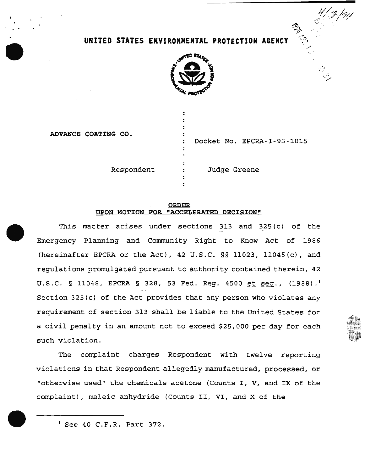# **UNITED STATES ENVIRONMENTAL PROTECTION A&EHCY**



ADVANCE COATING CO.

Docket No. EPCRA-I-93-1015

 $\boldsymbol{\mathcal{L}}$  .

Respondent : Judge Greene

### ORDER UPON MOTION FOR "ACCELERATED DECISION"

 $\ddot{\cdot}$  $\ddot{ }$ 

This matter arises under sections 313 and 325 (c) of the Emergency Planning and Community Right to Know Act of 1986 (hereinafter EPCRA or the Act), 42 U.S.C. §§ 11023, ll04S(c), and regulations promulgated pursuant to authority contained therein, 42 U.S.C. § 11048, EPCRA § 328, 53 Fed. Reg. 4500 et seq.,  $(1988)$ .<sup>1</sup> Section 325(c) of the Act provides that any person who violates any requirement of section 313 shall be liable to the United States for a civil penalty in an amount not to exceed \$25,000 per day for each such violation.

The complaint charges Respondent with twelve reporting violations in that Respondent allegedly manufactured, processed, or "otherwise used" the chemicals acetone (Counts I, V, and IX of the complaint), maleic anhydride (Counts II, VI, and X of the

 $<sup>1</sup>$  See 40 C.F.R. Part 372.</sup>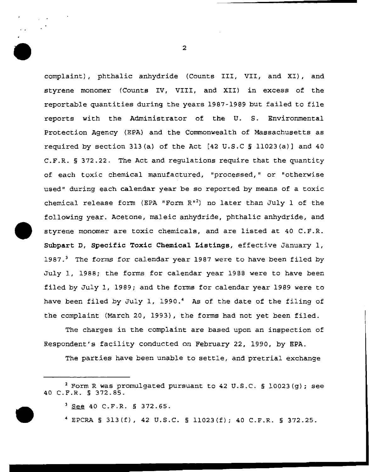complaint), phthalic anhydride (Counts III, VII, and XI), and styrene monomer (Counts IV, VIII, and XII) in excess of the reportable quantities during the years 1987-1989 but failed to file reports with the Administrator of the U. S. Environmental Protection Agency (EPA} and the Commonwealth of Massachusetts as required by section 313(a) of the Act  $[42 \text{ U.S.C S } 11023(a)]$  and  $40$ C.F.R. § 372.22. The Act and regulations require that the quantity of each toxic chemical manufactured, "processed," or "otherwise used" during each calendar year be so reported by means of a toxic chemical release form (EPA "Form  $R$ "<sup>2</sup>) no later than July  $1$  of the following year. Acetone, maleic anhydride, phthalic anhydride, and styrene monomer are toxic chemicals, and are listed at 40 C.F.R. Subpart D, Specific Toxic Chemical Listings, effective January 1, 1987.<sup>3</sup> The forms for calendar year 1987 were to have been filed by July 1, 1988; the forms for calendar year 1988 were to have been filed by July 1, 1989; and the forms for calendar year 1989 were to have been filed by July 1, 1990.<sup>4</sup> As of the date of the filing of the complaint (March 20, 1993), the forms had not yet been filed.

The charges in the complaint are based upon an inspection of Respondent's facility conducted on February 22, 1990, by EPA.

The parties have been unable to settle, and pretrial exchange

4 EPCRA § 313(f), 42 U.S.C. § ll023{f); 40 C.F.R. § 372.25.

 $2$  Form R was promulgated pursuant to 42 U.S.C. § 10023(g); see 40 C.F.R. § 372.85.

 $3$  See 40 C.F.R. § 372.65.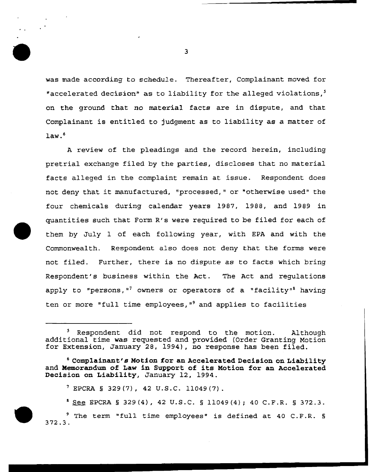was made according to schedule. Thereafter, Complainant moved for "accelerated decision" as to liability for the alleged violations, $<sup>5</sup>$ </sup> on the ground that *no* material facts are in dispute, and that Complainant is entitled to judgment as to liability as a matter of  $law.<sup>6</sup>$ 

A review of the pleadings and the record herein, including pretrial exchange filed by the parties, discloses that no material facts alleged in the complaint remain at issue. Respondent does not deny that it manufactured, "processed," or "otherwise used" the four chemicals during calendar years 1987, 1988, and 1989 in quantities such that Form R's were required to be filed for each of them by July 1 of each following year, with EPA and with the Commonwealth. Respondent also does not deny that the forms were not filed. Further, there is no dispute as to facts which bring Respondent's business within the Act. The Act and regulations apply to "persons,"<sup>7</sup> owners or operators of a "facility" having ten or more "full time employees,  $"$  and applies to facilities

<sup>&</sup>lt;sup>5</sup> Respondent did not respond to the motion. Although additional time was requested and provided (Order Granting Motion for Extension, January 28, 1994), no response has been filed.

 $6$  Complainant's Motion for an Accelerated Decision on Liability and Memorandum of Law in Support of its Motion for an Accelerated Decision on Liability, January 12, 1994.

 $7$  EPCRA § 329(7), 42 U.S.C. 11049(7).

<sup>8</sup> See EPCRA § 329 (4), 42 U.S.C. § 11049 (4); 40 C.F.R. § 372.3. 9 The term "full time employees" is defined at 40 C.F.R. § 372.3.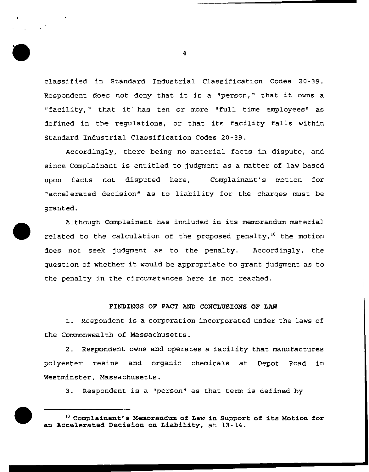classified *in* Standard Industrial Classification Codes 20-39. Respondent does not deny that it is a "person," that it owns a "facility," that it has ten or more "full time employees" as defined in the regulations, or that its facility falls within Standard Industrial Classification Codes 20-39.

Accordingly, there being no material facts in dispute, and since Complainant is entitled to judgment as a matter of law based upon facts not disputed here, Complainant's motion for "accelerated decision• as to liability for the charges must be granted.

Although Complainant has included in its memorandum material related to the calculation of the proposed penalty,<sup>10</sup> the motion does not seek judgment as to the penalty. Accordingly, the question of whether it would be appropriate to grant judgment as to the penalty in the circumstances here is not reached.

## FINDINGS OF FACT AND CONCLUSIONS OF LAW

1. Respondent is a corporation incorporated under the laws of the Commonwealth of Massachusetts.

2. Respondent owns and operates a facility that manufactures polyester resins and organic chemicals at Depot Road in Westminster, Massachusetts.

3. Respondent is a "person" as that term is defined by

<sup>1</sup> ° Complainant's Memorandum of Law in Support of its Motion for an Accelerated Decision on Liability, at 13-14.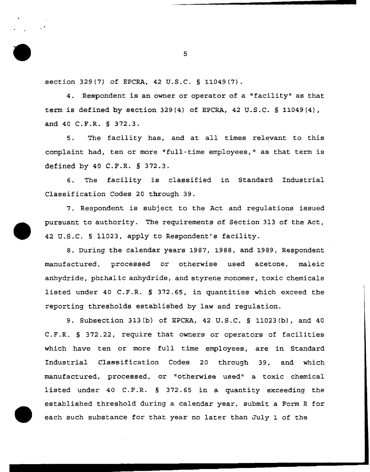section 329(7) of EPCRA, 42 u.s.c. § 11049(7).

4. Respondent is an owner or operator of a "facility" as that term is defined by section 329(4) of EPCRA, 42 U.S.C.  $\S$  11049(4), and 40 C.F.R. § 372.3.

5. The facility has, and at all times relevant to this complaint had, ten or more "full-time employees," as that term is defined by 40 C.F.R. § 372.3.

6. The facility is classified in Standard Industrial Classification Codes 20 through 39.

7. Respondent is subject to the Act and regulations issued pursuant to authority. The requirements of Section 313 of the Act, 42 U.S.C. § 11023, apply to Respondent's facility.

8. During the calendar years 1987, 1988, and 1989, Respondent manufactured, processed or otherwise used acetone, maleic anhydride, phthalic anhydride, and styrene monomer, toxic chemicals listed under 40 C.F.R. § 372.65, in quantities which exceed the reporting thresholds established by law and regulation.

9. Subsection 313(b) of EPCRA, 42 U.S.C. § 11023(b), and 40 C.F.R. § 372.22, require that owners or operators of facilities which have ten or more full time employees, are in Standard Industrial Classification Codes 20 through 39, and which manufactured, processed, or "otherwise used" a toxic chemical listed under 40 C.F.R. § 372.65 in a quantity exceeding the established threshold during a calendar year, submit a Form R for each such substance for that year no later than July 1 of the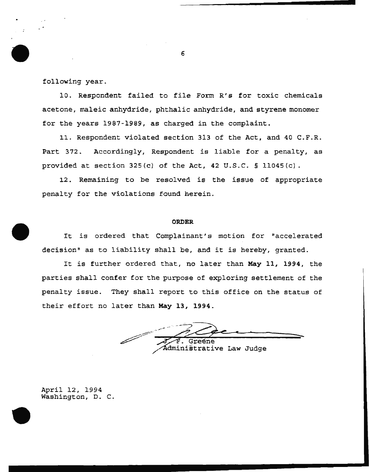following year.

10. Respondent failed to file Form R's for toxic chemicals acetone, maleic anhydride, phthalic anhydride, and styrene monomer for the years 1987-1989, as charged in the complaint.

11. Respondent violated section 313 of the Act, and 40 C.F.R. Part 372. Accordingly, Respondent is liable for a penalty, as provided at section  $325(c)$  of the Act,  $42$  U.S.C. § 11045(c).

12. Remaining to be resolved is the issue of appropriate penalty for the violations found herein.

#### **ORDER**

It is ordered that Complainant's motion for "accelerated decision" as to liability shall be, and it is hereby, granted.

It is further ordered that, no later than **May 11, 1994,** the parties shall confer for the purpose of exploring settlement of the penalty issue. They shall report to this office on the status of their effort no later than **May 13, 1994.** 

dministrative Law Judge

April 12, 1994 Washington, D. C.